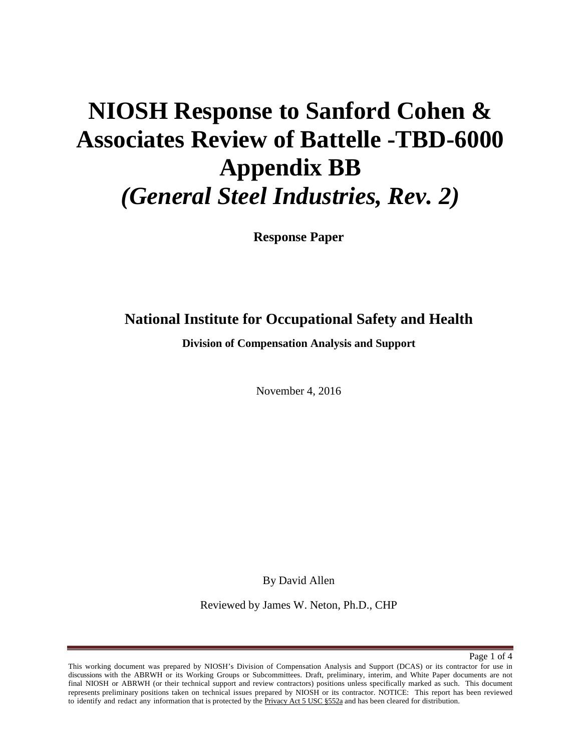# **NIOSH Response to Sanford Cohen & Associates Review of Battelle -TBD-6000 Appendix BB** *(General Steel Industries, Rev. 2)*

**Response Paper** 

# **National Institute for Occupational Safety and Health**

**Division of Compensation Analysis and Support** 

November 4, 2016

By David Allen

Reviewed by James W. Neton, Ph.D., CHP

Page 1 of 4

This working document was prepared by NIOSH's Division of Compensation Analysis and Support (DCAS) or its contractor for use in discussions with the ABRWH or its Working Groups or Subcommittees. Draft, preliminary, interim, and White Paper documents are not final NIOSH or ABRWH (or their technical support and review contractors) positions unless specifically marked as such. This document represents preliminary positions taken on technical issues prepared by NIOSH or its contractor. NOTICE: This report has been reviewed to identify and redact any information that is protected by the Privacy Act 5 USC §552a and has been cleared for distribution.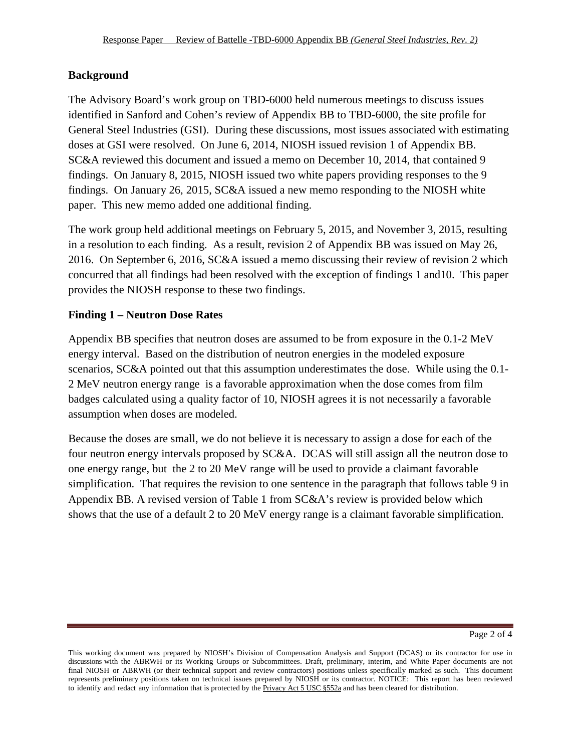### **Background**

The Advisory Board's work group on TBD-6000 held numerous meetings to discuss issues identified in Sanford and Cohen's review of Appendix BB to TBD-6000, the site profile for General Steel Industries (GSI). During these discussions, most issues associated with estimating doses at GSI were resolved. On June 6, 2014, NIOSH issued revision 1 of Appendix BB. SC&A reviewed this document and issued a memo on December 10, 2014, that contained 9 findings. On January 8, 2015, NIOSH issued two white papers providing responses to the 9 findings. On January 26, 2015, SC&A issued a new memo responding to the NIOSH white paper. This new memo added one additional finding.

The work group held additional meetings on February 5, 2015, and November 3, 2015, resulting in a resolution to each finding. As a result, revision 2 of Appendix BB was issued on May 26, 2016. On September 6, 2016, SC&A issued a memo discussing their review of revision 2 which concurred that all findings had been resolved with the exception of findings 1 and10. This paper provides the NIOSH response to these two findings.

## **Finding 1 – Neutron Dose Rates**

Appendix BB specifies that neutron doses are assumed to be from exposure in the 0.1-2 MeV energy interval. Based on the distribution of neutron energies in the modeled exposure scenarios, SC&A pointed out that this assumption underestimates the dose. While using the 0.1- 2 MeV neutron energy range is a favorable approximation when the dose comes from film badges calculated using a quality factor of 10, NIOSH agrees it is not necessarily a favorable assumption when doses are modeled.

Because the doses are small, we do not believe it is necessary to assign a dose for each of the four neutron energy intervals proposed by SC&A. DCAS will still assign all the neutron dose to one energy range, but the 2 to 20 MeV range will be used to provide a claimant favorable simplification. That requires the revision to one sentence in the paragraph that follows table 9 in Appendix BB. A revised version of Table 1 from SC&A's review is provided below which shows that the use of a default 2 to 20 MeV energy range is a claimant favorable simplification.

This working document was prepared by NIOSH's Division of Compensation Analysis and Support (DCAS) or its contractor for use in discussions with the ABRWH or its Working Groups or Subcommittees. Draft, preliminary, interim, and White Paper documents are not final NIOSH or ABRWH (or their technical support and review contractors) positions unless specifically marked as such. This document represents preliminary positions taken on technical issues prepared by NIOSH or its contractor. NOTICE: This report has been reviewed to identify and redact any information that is protected by the Privacy Act 5 USC §552a and has been cleared for distribution.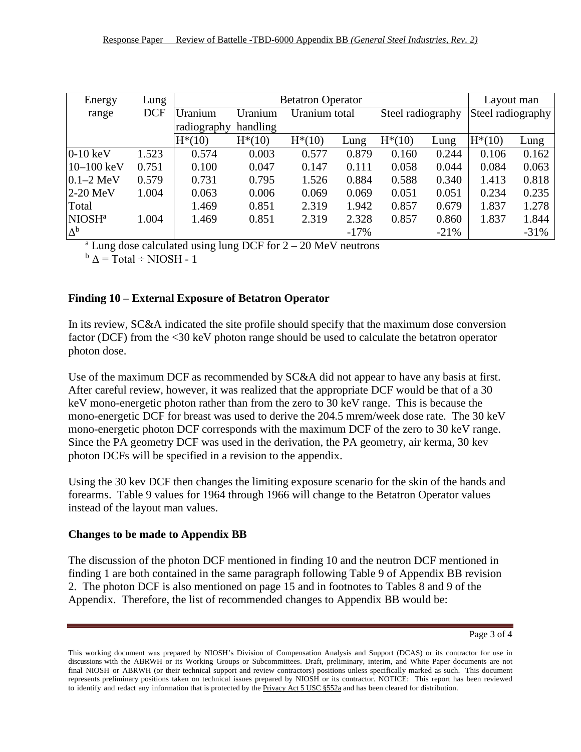| Energy             | Lung       | <b>Betatron Operator</b> |           |               |        |                   |         |                   | Layout man |  |
|--------------------|------------|--------------------------|-----------|---------------|--------|-------------------|---------|-------------------|------------|--|
| range              | <b>DCF</b> | Uranium                  | Uranium   | Uranium total |        | Steel radiography |         | Steel radiography |            |  |
|                    |            | radiography              | handling  |               |        |                   |         |                   |            |  |
|                    |            | $H*(10)$                 | $H^*(10)$ | $H^*(10)$     | Lung   | $H^*(10)$         | Lung    | $H^*(10)$         | Lung       |  |
| $0-10$ keV         | 1.523      | 0.574                    | 0.003     | 0.577         | 0.879  | 0.160             | 0.244   | 0.106             | 0.162      |  |
| $10 - 100$ keV     | 0.751      | 0.100                    | 0.047     | 0.147         | 0.111  | 0.058             | 0.044   | 0.084             | 0.063      |  |
| $0.1 - 2$ MeV      | 0.579      | 0.731                    | 0.795     | 1.526         | 0.884  | 0.588             | 0.340   | 1.413             | 0.818      |  |
| 2-20 MeV           | 1.004      | 0.063                    | 0.006     | 0.069         | 0.069  | 0.051             | 0.051   | 0.234             | 0.235      |  |
| Total              |            | 1.469                    | 0.851     | 2.319         | 1.942  | 0.857             | 0.679   | 1.837             | 1.278      |  |
| NIOSH <sup>a</sup> | 1.004      | 1.469                    | 0.851     | 2.319         | 2.328  | 0.857             | 0.860   | 1.837             | 1.844      |  |
| $\Delta^{\rm b}$   |            |                          |           |               | $-17%$ |                   | $-21\%$ |                   | $-31%$     |  |

 $a$  Lung dose calculated using lung DCF for  $2 - 20$  MeV neutrons

 $b \Delta = \text{Total} \div \text{NIOSH} - 1$ 

#### **Finding 10 – External Exposure of Betatron Operator**

In its review, SC&A indicated the site profile should specify that the maximum dose conversion factor (DCF) from the <30 keV photon range should be used to calculate the betatron operator photon dose.

Use of the maximum DCF as recommended by  $SC&A$  did not appear to have any basis at first. After careful review, however, it was realized that the appropriate DCF would be that of a 30 keV mono-energetic photon rather than from the zero to 30 keV range. This is because the mono-energetic DCF for breast was used to derive the 204.5 mrem/week dose rate. The 30 keV mono-energetic photon DCF corresponds with the maximum DCF of the zero to 30 keV range. Since the PA geometry DCF was used in the derivation, the PA geometry, air kerma, 30 kev photon DCFs will be specified in a revision to the appendix.

Using the 30 kev DCF then changes the limiting exposure scenario for the skin of the hands and forearms. Table 9 values for 1964 through 1966 will change to the Betatron Operator values instead of the layout man values.

#### **Changes to be made to Appendix BB**

The discussion of the photon DCF mentioned in finding 10 and the neutron DCF mentioned in finding 1 are both contained in the same paragraph following Table 9 of Appendix BB revision 2. The photon DCF is also mentioned on page 15 and in footnotes to Tables 8 and 9 of the Appendix. Therefore, the list of recommended changes to Appendix BB would be:

Page 3 of 4

This working document was prepared by NIOSH's Division of Compensation Analysis and Support (DCAS) or its contractor for use in discussions with the ABRWH or its Working Groups or Subcommittees. Draft, preliminary, interim, and White Paper documents are not final NIOSH or ABRWH (or their technical support and review contractors) positions unless specifically marked as such. This document represents preliminary positions taken on technical issues prepared by NIOSH or its contractor. NOTICE: This report has been reviewed to identify and redact any information that is protected by the Privacy Act 5 USC §552a and has been cleared for distribution.